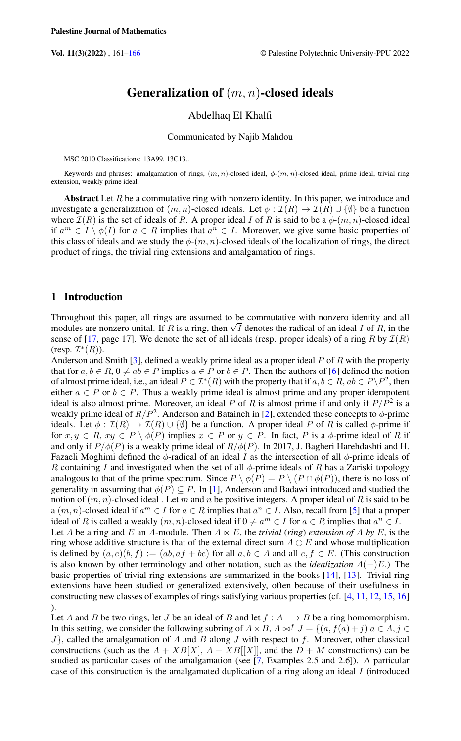# Generalization of  $(m, n)$ -closed ideals

### Abdelhaq El Khalfi

Communicated by Najib Mahdou

MSC 2010 Classifications: 13A99, 13C13..

Keywords and phrases: amalgamation of rings,  $(m, n)$ -closed ideal,  $\phi(m, n)$ -closed ideal, prime ideal, trivial ring extension, weakly prime ideal.

Abstract Let  $R$  be a commutative ring with nonzero identity. In this paper, we introduce and investigate a generalization of  $(m, n)$ -closed ideals. Let  $\phi : \mathcal{I}(R) \to \mathcal{I}(R) \cup \{\emptyset\}$  be a function where  $\mathcal{I}(R)$  is the set of ideals of R. A proper ideal I of R is said to be a  $\phi$ - $(m, n)$ -closed ideal if  $a^m \in I \setminus \phi(I)$  for  $a \in R$  implies that  $a^n \in I$ . Moreover, we give some basic properties of this class of ideals and we study the  $\phi$ - $(m, n)$ -closed ideals of the localization of rings, the direct product of rings, the trivial ring extensions and amalgamation of rings.

## 1 Introduction

Throughout this paper, all rings are assumed to be commutative with nonzero identity and all Throughout this paper, all rings are assumed to be commutative with honzero identity and all modules are nonzero unital. If R is a ring, then  $\sqrt{I}$  denotes the radical of an ideal I of R, in the sense of [\[17,](#page-5-0) page 17]. We denote the set of all ideals (resp. proper ideals) of a ring R by  $\mathcal{I}(R)$  $(\text{resp. } \mathcal{I}^*(R)).$ 

Anderson and Smith [\[3\]](#page-4-1), defined a weakly prime ideal as a proper ideal  $P$  of  $R$  with the property that for  $a, b \in R$ ,  $0 \neq ab \in P$  implies  $a \in P$  or  $b \in P$ . Then the authors of [\[6\]](#page-5-1) defined the notion of almost prime ideal, i.e., an ideal  $P \in \mathcal{I}^*(R)$  with the property that if  $a, b \in R$ ,  $ab \in P \backslash P^2$ , then either  $a \in P$  or  $b \in P$ . Thus a weakly prime ideal is almost prime and any proper idempotent ideal is also almost prime. Moreover, an ideal P of R is almost prime if and only if  $P/P^2$  is a weakly prime ideal of  $R/P^2$ . Anderson and Bataineh in [\[2\]](#page-4-2), extended these concepts to  $\phi$ -prime ideals. Let  $\phi : \mathcal{I}(R) \to \mathcal{I}(R) \cup \{\emptyset\}$  be a function. A proper ideal P of R is called  $\phi$ -prime if for  $x, y \in R$ ,  $xy \in P \setminus \phi(P)$  implies  $x \in P$  or  $y \in P$ . In fact, P is a  $\phi$ -prime ideal of R if and only if  $P/\phi(P)$  is a weakly prime ideal of  $R/\phi(P)$ . In 2017, J. Bagheri Harehdashti and H. Fazaeli Moghimi defined the  $\phi$ -radical of an ideal I as the intersection of all  $\phi$ -prime ideals of R containing I and investigated when the set of all  $\phi$ -prime ideals of R has a Zariski topology analogous to that of the prime spectrum. Since  $P \setminus \phi(P) = P \setminus (P \cap \phi(P))$ , there is no loss of generality in assuming that  $\phi(P) \subseteq P$ . In [\[1\]](#page-4-3), Anderson and Badawi introduced and studied the notion of  $(m, n)$ -closed ideal . Let m and n be positive integers. A proper ideal of R is said to be a  $(m, n)$ -closed ideal if  $a^m \in I$  for  $a \in R$  implies that  $a^n \in I$ . Also, recall from [\[5\]](#page-4-4) that a proper ideal of R is called a weakly  $(m, n)$ -closed ideal if  $0 \neq a^m \in I$  for  $a \in R$  implies that  $a^n \in I$ . Let A be a ring and E an A-module. Then  $A \ltimes E$ , the *trivial* (*ring*) *extension of* A by E, is the ring whose additive structure is that of the external direct sum  $A \oplus E$  and whose multiplication is defined by  $(a, e)(b, f) := (ab, af + be)$  for all  $a, b \in A$  and all  $e, f \in E$ . (This construction is also known by other terminology and other notation, such as the *idealization*  $A(+)E$ .) The basic properties of trivial ring extensions are summarized in the books [\[14\]](#page-5-2), [\[13\]](#page-5-3). Trivial ring

extensions have been studied or generalized extensively, often because of their usefulness in constructing new classes of examples of rings satisfying various properties (cf. [\[4,](#page-4-5) [11,](#page-5-4) [12,](#page-5-5) [15,](#page-5-6) [16\]](#page-5-7) ).

Let A and B be two rings, let J be an ideal of B and let  $f : A \longrightarrow B$  be a ring homomorphism. In this setting, we consider the following subring of  $A \times B$ ,  $A \bowtie^f J = \{(a, f(a) + j)|a \in A, j \in A\}$  $J$ , called the amalgamation of A and B along J with respect to f. Moreover, other classical constructions (such as the  $A + XB[X], A + XB[[X]],$  and the  $D + M$  constructions) can be studied as particular cases of the amalgamation (see [\[7,](#page-5-8) Examples 2.5 and 2.6]). A particular case of this construction is the amalgamated duplication of a ring along an ideal I (introduced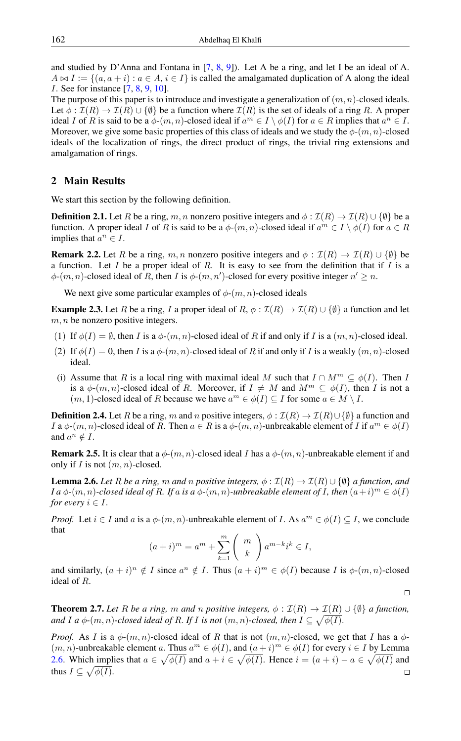and studied by D'Anna and Fontana in [\[7,](#page-5-8) [8,](#page-5-9) [9\]](#page-5-10)). Let A be a ring, and let I be an ideal of A.  $A \bowtie I := \{(a, a + i) : a \in A, i \in I\}$  is called the amalgamated duplication of A along the ideal I. See for instance [\[7,](#page-5-8) [8,](#page-5-9) [9,](#page-5-10) [10\]](#page-5-11).

The purpose of this paper is to introduce and investigate a generalization of  $(m, n)$ -closed ideals. Let  $\phi : \mathcal{I}(R) \to \mathcal{I}(R) \cup \{\emptyset\}$  be a function where  $\mathcal{I}(R)$  is the set of ideals of a ring R. A proper ideal I of R is said to be a  $\phi$ - $(m, n)$ -closed ideal if  $a^m \in I \setminus \phi(I)$  for  $a \in R$  implies that  $a^n \in I$ . Moreover, we give some basic properties of this class of ideals and we study the  $\phi$ - $(m, n)$ -closed ideals of the localization of rings, the direct product of rings, the trivial ring extensions and amalgamation of rings.

### 2 Main Results

We start this section by the following definition.

**Definition 2.1.** Let R be a ring, m, n nonzero positive integers and  $\phi : \mathcal{I}(R) \to \mathcal{I}(R) \cup \{\emptyset\}$  be a function. A proper ideal I of R is said to be a  $\phi$ - $(m, n)$ -closed ideal if  $a^m \in I \setminus \phi(I)$  for  $a \in R$ implies that  $a^n \in I$ .

**Remark 2.2.** Let R be a ring, m, n nonzero positive integers and  $\phi : \mathcal{I}(R) \to \mathcal{I}(R) \cup \{\emptyset\}$  be a function. Let I be a proper ideal of R. It is easy to see from the definition that if I is a  $\phi$ - $(m, n)$ -closed ideal of R, then I is  $\phi$ - $(m, n')$ -closed for every positive integer  $n' \geq n$ .

We next give some particular examples of  $\phi$ - $(m, n)$ -closed ideals

**Example 2.3.** Let R be a ring, I a proper ideal of R,  $\phi : \mathcal{I}(R) \to \mathcal{I}(R) \cup \{\emptyset\}$  a function and let  $m, n$  be nonzero positive integers.

- (1) If  $\phi(I) = \emptyset$ , then I is a  $\phi(m, n)$ -closed ideal of R if and only if I is a  $(m, n)$ -closed ideal.
- (2) If  $\phi(I) = 0$ , then I is a  $\phi(m, n)$ -closed ideal of R if and only if I is a weakly  $(m, n)$ -closed ideal.
- (i) Assume that R is a local ring with maximal ideal M such that  $I \cap M^m \subseteq \phi(I)$ . Then I is a  $\phi$ - $(m, n)$ -closed ideal of R. Moreover, if  $I \neq M$  and  $M^m \subseteq \phi(I)$ , then I is not a  $(m, 1)$ -closed ideal of R because we have  $a^m \in \phi(I) \subseteq I$  for some  $a \in M \setminus I$ .

**Definition 2.4.** Let R be a ring, m and n positive integers,  $\phi : \mathcal{I}(R) \to \mathcal{I}(R) \cup \{\emptyset\}$  a function and I a  $\phi$ - $(m, n)$ -closed ideal of R. Then  $a \in R$  is a  $\phi$ - $(m, n)$ -unbreakable element of I if  $a^m \in \phi(I)$ and  $a^n \notin I$ .

**Remark 2.5.** It is clear that a  $\phi$ - $(m, n)$ -closed ideal I has a  $\phi$ - $(m, n)$ -unbreakable element if and only if I is not  $(m, n)$ -closed.

<span id="page-1-0"></span>**Lemma 2.6.** *Let* R *be a ring,* m *and* n positive integers,  $\phi : \mathcal{I}(R) \to \mathcal{I}(R) \cup \{\emptyset\}$  a function, and *I* a  $\phi$ - $(m, n)$ -closed ideal of R. If a is a  $\phi$ - $(m, n)$ -unbreakable element of I, then  $(a+i)^m \in \phi(I)$ *for every*  $i \in I$ .

*Proof.* Let  $i \in I$  and a is a  $\phi$ - $(m, n)$ -unbreakable element of I. As  $a^m \in \phi(I) \subseteq I$ , we conclude that

$$
(a+i)^m = a^m + \sum_{k=1}^m \binom{m}{k} a^{m-k} i^k \in I,
$$

and similarly,  $(a + i)^n \notin I$  since  $a^n \notin I$ . Thus  $(a + i)^m \in \phi(I)$  because I is  $\phi(m, n)$ -closed ideal of R.

 $\Box$ 

**Theorem 2.7.** *Let* R *be a ring,* m *and* n positive integers,  $\phi : \mathcal{I}(R) \to \mathcal{I}(R) \cup \{\emptyset\}$  *a function,* and I a  $\phi$ - $(m,n)$ -closed ideal of R. If I is not  $(m,n)$ -closed, then  $I\subseteq \sqrt{\phi(I)}$ .

*Proof.* As I is a  $\phi$ - $(m, n)$ -closed ideal of R that is not  $(m, n)$ -closed, we get that I has a  $\phi$ - $(m, n)$ -unbreakable element a. Thus  $a^m \in \phi(I)$ , and  $(a + i)^m \in \phi(I)$  for every  $i \in I$  by Lemma [2.6.](#page-1-0) Which implies that  $a \in \sqrt{\phi(I)}$  and  $a + i \in \sqrt{\phi(I)}$ . Hence  $i = (a + i) - a \in \sqrt{\phi(I)}$  and thus  $I \subseteq \sqrt{\phi(I)}$ .  $\Box$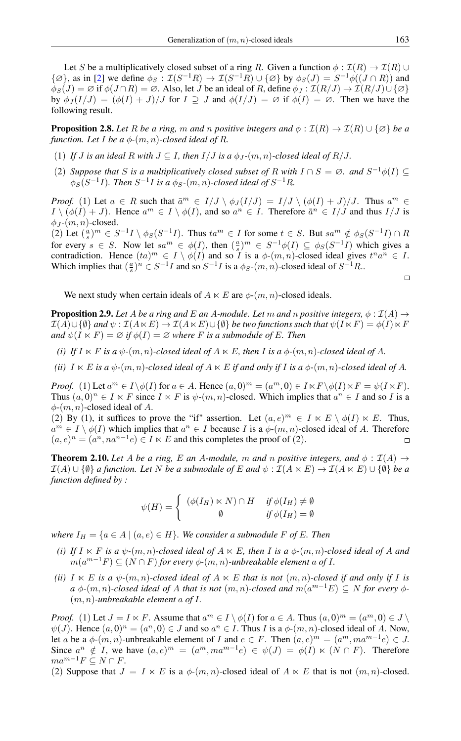Let S be a multiplicatively closed subset of a ring R. Given a function  $\phi : \mathcal{I}(R) \to \mathcal{I}(R) \cup \mathcal{I}(R)$  $\{\emptyset\}$ , as in [\[2\]](#page-4-2) we define  $\phi_S : \mathcal{I}(S^{-1}R) \to \mathcal{I}(S^{-1}R) \cup \{\emptyset\}$  by  $\phi_S(J) = S^{-1}\phi((J \cap R))$  and  $\phi_S(J) = \emptyset$  if  $\phi(J \cap R) = \emptyset$ . Also, let J be an ideal of R, define  $\phi_J : \mathcal{I}(R/J) \to \mathcal{I}(R/J) \cup \{\emptyset\}$ by  $\phi_J(I/J) = (\phi(I) + J)/J$  for  $I \supseteq J$  and  $\phi(I/J) = \emptyset$  if  $\phi(I) = \emptyset$ . Then we have the following result.

**Proposition 2.8.** *Let* R *be a ring,* m *and* n *positive integers and*  $\phi$  :  $\mathcal{I}(R) \to \mathcal{I}(R) \cup \{\emptyset\}$  *be a function. Let I be a*  $\phi$ - $(m, n)$ -*closed ideal of R.* 

- (1) If *J* is an ideal R with  $J \subseteq I$ , then  $I/J$  is a  $\phi_J$ - $(m, n)$ -closed ideal of R/J.
- (2) *Suppose that* S *is a multiplicatively closed subset of* R *with*  $I \cap S = \emptyset$ *. and*  $S^{-1}\phi(I) \subseteq$  $\phi_S(S^{-1}I)$ *. Then*  $S^{-1}I$  is a  $\phi_S$ - $(m,n)$ -closed ideal of  $S^{-1}R$ *.*

*Proof.* (1) Let  $a \in R$  such that  $\bar{a}^m \in I/J \setminus \phi_J(I/J) = I/J \setminus (\phi(I) + J)/J$ . Thus  $a^m \in I/J$  $I \setminus (\phi(I) + J)$ . Hence  $a^m \in I \setminus \phi(I)$ , and so  $a^n \in I$ . Therefore  $\bar{a}^n \in I/J$  and thus  $I/J$  is  $\phi_J$ - $(m, n)$ -closed.

(2) Let  $(\frac{a}{s})^m \in S^{-1}I \setminus \phi_S(S^{-1}I)$ . Thus  $ta^m \in I$  for some  $t \in S$ . But  $sa^m \notin \phi_S(S^{-1}I) \cap R$ for every  $s \in S$ . Now let  $sa^m \in \phi(I)$ , then  $(\frac{a}{s})^m \in S^{-1}\phi(I) \subseteq \phi_S(S^{-1}I)$  which gives a contradiction. Hence  $(ta)^m \in I \setminus \phi(I)$  and so *I* is a  $\phi \text{-}(m, n)$ -closed ideal gives  $t^n a^n \in I$ . Which implies that  $(\frac{a}{s})^n \in S^{-1}I$  and so  $S^{-1}I$  is a  $\phi_S$ - $(m, n)$ -closed ideal of  $S^{-1}R$ .

$$
\Box
$$

We next study when certain ideals of  $A \ltimes E$  are  $\phi$ - $(m, n)$ -closed ideals.

**Proposition 2.9.** Let A be a ring and E an A-module. Let m and n positive integers,  $\phi : \mathcal{I}(A) \rightarrow$  $\mathcal{I}(A)\cup\{\emptyset\}$  and  $\psi:\mathcal{I}(A\ltimes E)\to\mathcal{I}(A\ltimes E)\cup\{\emptyset\}$  be two functions such that  $\psi(I\ltimes F)=\phi(I)\ltimes F$ *and*  $\psi(I \ltimes F) = \emptyset$  *if*  $\phi(I) = \emptyset$  *where F is a submodule of E. Then* 

- *(i) If*  $I \lt K$  *F is a*  $\psi$ *-*(*m, n*)*-closed ideal of*  $A \lt K$ *E, then I is a*  $\phi$ *-*(*m, n*)*-closed ideal of A*.
- *(ii)*  $I \times E$  *is a*  $\psi$ - $(m, n)$ *-closed ideal of*  $A \times E$  *if and only if*  $I$  *is a*  $\phi$ - $(m, n)$ *-closed ideal of*  $A$ *.*

*Proof.* (1) Let  $a^m \in I \setminus \phi(I)$  for  $a \in A$ . Hence  $(a, 0)^m = (a^m, 0) \in I \ltimes F \setminus \phi(I) \ltimes F = \psi(I \ltimes F)$ . Thus  $(a, 0)^n \in I \ltimes F$  since  $I \ltimes F$  is  $\psi$ - $(m, n)$ -closed. Which implies that  $a^n \in I$  and so I is a  $\phi$ - $(m, n)$ -closed ideal of A.

(2) By (1), it suffices to prove the "if" assertion. Let  $(a, e)^m \in I \ltimes E \setminus \phi(I) \ltimes E$ . Thus,  $a^m \in I \setminus \phi(I)$  which implies that  $a^n \in I$  because I is a  $\phi \cdot (m, n)$ -closed ideal of A. Therefore  $(a, e)^n = (a^n, na^{n-1}e) \in I \ltimes E$  and this completes the proof of (2).  $\Box$ 

**Theorem 2.10.** Let A be a ring, E an A-module, m and n positive integers, and  $\phi$  :  $\mathcal{I}(A) \rightarrow$  $\mathcal{I}(A) \cup \{\emptyset\}$  *a function. Let* N *be a submodule of* E and  $\psi : \mathcal{I}(A \ltimes E) \to \mathcal{I}(A \ltimes E) \cup \{\emptyset\}$  *be a function defined by :*

$$
\psi(H) = \begin{cases} (\phi(I_H) \ltimes N) \cap H & \text{if } \phi(I_H) \neq \emptyset \\ \emptyset & \text{if } \phi(I_H) = \emptyset \end{cases}
$$

*where*  $I_H = \{a \in A \mid (a, e) \in H\}$ *. We consider a submodule F of E. Then* 

- *(i) If*  $I \times F$  *is a*  $\psi$ *-*(m, n)*-closed ideal of*  $A \times E$ *, then I is a*  $\phi$ *-*(m, n)*-closed ideal of* A *and*  $m(a^{m-1}F) \subseteq (N \cap F)$  for every  $\phi$ - $(m, n)$ -unbreakable element a of I.
- *(ii)*  $I \ltimes E$  *is a*  $\psi$ - $(m, n)$ -closed ideal of  $A \ltimes E$  *that is not*  $(m, n)$ -closed *if and only if I is*  $a \phi$ - $(m, n)$ -closed ideal of A that is not  $(m, n)$ -closed and  $m(a^{m-1}E) \subseteq N$  for every  $\phi$ -(m, n)*-unbreakable element* a *of* I*.*

*Proof.* (1) Let  $J = I \ltimes F$ . Assume that  $a^m \in I \setminus \phi(I)$  for  $a \in A$ . Thus  $(a, 0)^m = (a^m, 0) \in J \setminus I$  $\psi(J)$ . Hence  $(a, 0)^n = (a^n, 0) \in J$  and so  $a^n \in I$ . Thus I is a  $\phi$ - $(m, n)$ -closed ideal of A. Now, let a be a  $\phi$ - $(m, n)$ -unbreakable element of I and  $e \in F$ . Then  $(a, e)^m = (a^m, ma^{m-1}e) \in J$ . Since  $a^n \notin I$ , we have  $(a, e)^m = (a^m, ma^{m-1}e) \in \psi(J) = \phi(I) \ltimes (N \cap F)$ . Therefore  $ma^{m-1}F \subseteq N \cap F$ .

(2) Suppose that  $J = I \ltimes E$  is a  $\phi(m, n)$ -closed ideal of  $A \ltimes E$  that is not  $(m, n)$ -closed.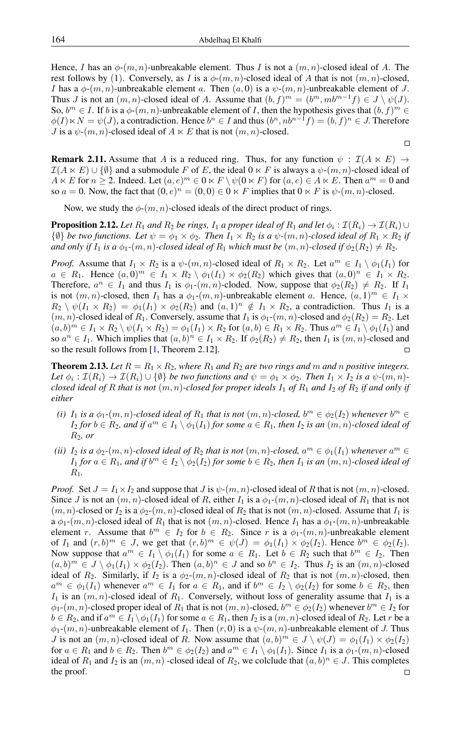Hence, I has an  $\phi(m, n)$ -unbreakable element. Thus I is not a  $(m, n)$ -closed ideal of A. The rest follows by (1). Conversely, as I is a  $\phi$ -(m, n)-closed ideal of A that is not  $(m, n)$ -closed, *I* has a  $\phi$ - $(m, n)$ -unbreakable element a. Then  $(a, 0)$  is a  $\psi$ - $(m, n)$ -unbreakable element of *J*. Thus *J* is not an  $(m, n)$ -closed ideal of *A*. Assume that  $(b, f)^m = (b^m, mb^{m-1}f) \in J \setminus \psi(J)$ . So,  $b^m \in I$ . If b is a  $\phi$ - $(m, n)$ -unbreakable element of *I*, then the hypothesis gives that  $(b, f)^m$  $\phi(I) \ltimes N = \psi(J)$ , a contradiction. Hence  $b^n \in I$  and thus  $(b^n, nb^{n-1}f) = (b, f)^n \in J$ . Therefore *J* is a  $\psi$ - $(m, n)$ -closed ideal of  $A \ltimes E$  that is not  $(m, n)$ -closed.

**Remark 2.11.** Assume that A is a reduced ring. Thus, for any function  $\psi$  :  $\mathcal{I}(A \ltimes E)$   $\rightarrow$  $\mathcal{I}(A \ltimes E) \cup \{\emptyset\}$  and a submodule F of E, the ideal  $0 \ltimes F$  is always a  $\psi$ - $(m, n)$ -closed ideal of  $A \ltimes E$  for  $n \ge 2$ . Indeed. Let  $(a, e)^m \in 0 \ltimes F \setminus \psi(0 \ltimes F)$  for  $(a, e) \in A \ltimes E$ . Then  $a^m = 0$  and so  $a = 0$ . Now, the fact that  $(0, e)^n = (0, 0) \in \mathbb{0} \times F$  implies that  $0 \ltimes F$  is  $\psi$ - $(m, n)$ -closed.

 $\Box$ 

Now, we study the  $\phi$ - $(m, n)$ -closed ideals of the direct product of rings.

**Proposition 2.12.** Let  $R_1$  and  $R_2$  be rings,  $I_1$  a proper ideal of  $R_1$  and let  $\phi_i$  :  $\mathcal{I}(R_i) \to \mathcal{I}(R_i)$   $\cup$  $\{\emptyset\}$  *be two functions. Let*  $\psi = \phi_1 \times \phi_2$ *. Then*  $I_1 \times R_2$  *is a*  $\psi$ - $(m, n)$ -closed ideal of  $R_1 \times R_2$  *if and only if*  $I_1$  *is a*  $\phi_1$ - $(m, n)$ -closed ideal of  $R_1$  which must be  $(m, n)$ -closed if  $\phi_2(R_2) \neq R_2$ .

*Proof.* Assume that  $I_1 \times R_2$  is a  $\psi$ - $(m, n)$ -closed ideal of  $R_1 \times R_2$ . Let  $a^m \in I_1 \setminus \phi_1(I_1)$  for  $a \in R_1$ . Hence  $(a,0)^m \in I_1 \times R_2 \setminus \phi_1(I_1) \times \phi_2(R_2)$  which gives that  $(a,0)^n \in I_1 \times R_2$ . Therefore,  $a^n \in I_1$  and thus  $I_1$  is  $\phi_1$ - $(m, n)$ -cloded. Now, suppose that  $\phi_2(R_2) \neq R_2$ . If  $I_1$ is not  $(m, n)$ -closed, then  $I_1$  has a  $\phi_1$ - $(m, n)$ -unbreakable element a. Hence,  $(a, 1)^m \in I_1 \times$  $R_2 \setminus \psi(I_1 \times R_2) = \phi_1(I_1) \times \phi_2(R_2)$  and  $(a,1)^n \notin I_1 \times R_2$ , a contradiction. Thus  $I_1$  is a  $(m, n)$ -closed ideal of  $R_1$ . Conversely, assume that  $I_1$  is  $\phi_1$ - $(m, n)$ -closed and  $\phi_2(R_2) = R_2$ . Let  $(a, b)^m \in I_1 \times R_2 \setminus \psi(I_1 \times R_2) = \phi_1(I_1) \times R_2$  for  $(a, b) \in R_1 \times R_2$ . Thus  $a^m \in I_1 \setminus \phi_1(I_1)$  and so  $a^n \in I_1$ . Which implies that  $(a, b)^n \in I_1 \times R_2$ . If  $\phi_2(R_2) \neq R_2$ , then  $I_1$  is  $(m, n)$ -closed and so the result follows from [\[1,](#page-4-3) Theorem 2.12].

**Theorem 2.13.** Let  $R = R_1 \times R_2$ , where  $R_1$  and  $R_2$  are two rings and m and n positive integers. Let  $\phi_i : \mathcal{I}(R_i) \to \mathcal{I}(R_i) \cup \{\emptyset\}$  *be two functions and*  $\psi = \phi_1 \times \phi_2$ *. Then*  $I_1 \times I_2$  *is a*  $\psi$ *-*(*m, n*)*closed ideal of* R *that is not*  $(m, n)$ *-closed for proper ideals*  $I_1$  *of*  $R_1$  *and*  $I_2$  *of*  $R_2$  *if and only if either*

- (*i*)  $I_1$  *is a*  $\phi_1$ - $(m, n)$ -closed ideal of  $R_1$  *that is not*  $(m, n)$ -closed,  $b^m \in \phi_2(I_2)$  whenever  $b^m \in$  $I_2$  *for*  $b \in R_2$ *, and if*  $a^m \in I_1 \setminus \phi_1(I_1)$  *for some*  $a \in R_1$ *, then*  $I_2$  *is an*  $(m, n)$ *-closed ideal of* R2*, or*
- (*ii*)  $I_2$  *is a*  $\phi_2$ - $(m, n)$ -closed ideal of  $R_2$  *that is not*  $(m, n)$ -closed,  $a^m \in \phi_1(I_1)$  *whenever*  $a^m \in$  $I_1$  *for*  $a \in R_1$ *, and if*  $b^m \in I_2 \setminus \phi_2(I_2)$  *for some*  $b \in R_2$ *, then*  $I_1$  *is an*  $(m, n)$ *-closed ideal of* R1*.*

*Proof.* Set  $J = I_1 \times I_2$  and suppose that  $J$  is  $\psi$ - $(m, n)$ -closed ideal of R that is not  $(m, n)$ -closed. Since J is not an  $(m, n)$ -closed ideal of R, either  $I_1$  is a  $\phi_1$ - $(m, n)$ -closed ideal of  $R_1$  that is not  $(m, n)$ -closed or  $I_2$  is a  $\phi_2(m, n)$ -closed ideal of  $R_2$  that is not  $(m, n)$ -closed. Assume that  $I_1$  is a  $\phi_1$ -(m, n)-closed ideal of  $R_1$  that is not  $(m, n)$ -closed. Hence  $I_1$  has a  $\phi_1$ -(m, n)-unbreakable element r. Assume that  $b^m \in I_2$  for  $b \in R_2$ . Since r is a  $\phi_1$ - $(m, n)$ -unbreakable element of  $I_1$  and  $(r, b)^m \in J$ , we get that  $(r, b)^m \in \psi(J) = \phi_1(I_1) \times \phi_2(I_2)$ . Hence  $b^m \in \phi_2(I_2)$ . Now suppose that  $a^m \in I_1 \setminus \phi_1(I_1)$  for some  $a \in R_1$ . Let  $b \in R_2$  such that  $b^m \in I_2$ . Then  $(a, b)^m \in J \setminus \phi_1(I_1) \times \phi_2(I_2)$ . Then  $(a, b)^n \in J$  and so  $b^n \in I_2$ . Thus  $I_2$  is an  $(m, n)$ -closed ideal of  $R_2$ . Similarly, if  $I_2$  is a  $\phi_2-(m, n)$ -closed ideal of  $R_2$  that is not  $(m, n)$ -closed, then  $a^m \in \phi_1(I_1)$  whenever  $a^m \in I_1$  for  $a \in R_1$ , and if  $b^m \in I_2 \setminus \phi_2(I_2)$  for some  $b \in R_2$ , then  $I_1$  is an  $(m, n)$ -closed ideal of  $R_1$ . Conversely, without loss of generality assume that  $I_1$  is a  $\phi_1$ - $(m, n)$ -closed proper ideal of  $R_1$  that is not  $(m, n)$ -closed,  $b^m \in \phi_2(I_2)$  whenever  $b^m \in I_2$  for  $b \in R_2$ , and if  $a^m \in I_1 \setminus \phi_1(I_1)$  for some  $a \in R_1$ , then  $I_2$  is a  $(m, n)$ -closed ideal of  $R_2$ . Let r be a  $\phi_1$ - $(m, n)$ -unbreakable element of  $I_1$ . Then  $(r, 0)$  is a  $\psi$ - $(m, n)$ -unbreakable element of J. Thus *J* is not an  $(m, n)$ -closed ideal of R. Now assume that  $(a, b)^m \in J \setminus \psi(J) = \phi_1(I_1) \times \phi_2(I_2)$ for  $a \in R_1$  and  $b \in R_2$ . Then  $b^m \in \phi_2(I_2)$  and  $a^m \in I_1 \setminus \phi_1(I_1)$ . Since  $I_1$  is a  $\phi_1$ - $(m, n)$ -closed ideal of  $R_1$  and  $I_2$  is an  $(m, n)$  -closed ideal of  $R_2$ , we colclude that  $(a, b)^n \in J$ . This completes the proof. $\Box$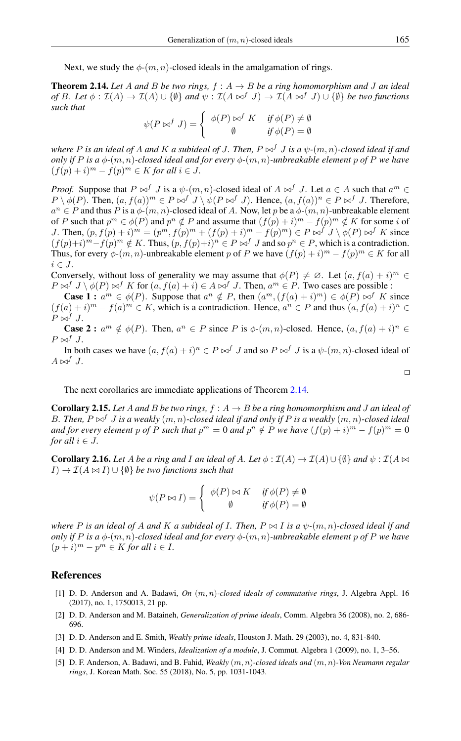Next, we study the  $\phi$ - $(m, n)$ -closed ideals in the amalgamation of rings.

<span id="page-4-6"></span>**Theorem 2.14.** Let A and B be two rings,  $f : A \rightarrow B$  be a ring homomorphism and J an ideal *of* B. Let  $\phi : \mathcal{I}(A) \to \mathcal{I}(A) \cup \{\emptyset\}$  *and*  $\psi : \mathcal{I}(A \bowtie^f J) \to \mathcal{I}(A \bowtie^f J) \cup \{\emptyset\}$  *be two functions such that*

$$
\psi(P \bowtie^f J) = \begin{cases} \phi(P) \bowtie^f K & \text{if } \phi(P) \neq \emptyset \\ \emptyset & \text{if } \phi(P) = \emptyset \end{cases}
$$

*where* P is an ideal of A and K a subideal of J. Then,  $P \bowtie^f J$  is a  $\psi$ - $(m, n)$ -closed ideal if and *only if* P *is a*  $\phi$ - $(m, n)$ -closed ideal and for every  $\phi$ - $(m, n)$ -unbreakable element p of P we have  $(f(p) + i)^m - f(p)^m \in K$  *for all*  $i \in J$ *.* 

*Proof.* Suppose that  $P \bowtie^f J$  is a  $\psi$ - $(m, n)$ -closed ideal of  $A \bowtie^f J$ . Let  $a \in A$  such that  $a^m \in$  $P \setminus \phi(P)$ . Then,  $(a, f(a))^m \in P \bowtie^f J \setminus \psi(P \bowtie^f J)$ . Hence,  $(a, f(a))^n \in P \bowtie^f J$ . Therefore,  $a^n \in P$  and thus P is a  $\phi$ - $(m, n)$ -closed ideal of A. Now, let p be a  $\phi$ - $(m, n)$ -unbreakable element of P such that  $p^m \in \phi(P)$  and  $p^n \notin P$  and assume that  $(f(p) + i)^m - f(p)^m \notin K$  for some i of J. Then,  $(p, f(p) + i)^m = (p^m, f(p)^m + (f(p) + i)^m - f(p)^m) \in P \bowtie^f J \setminus \phi(P) \bowtie^f K$  since  $(f(p)+i)^m - f(p)^m \notin K$ . Thus,  $(p, f(p)+i)^n \in P \bowtie^f J$  and so  $p^n \in P$ , which is a contradiction. Thus, for every  $\phi$ - $(m, n)$ -unbreakable element p of P we have  $(f(p) + i)^m - f(p)^m \in K$  for all  $i \in J$ .

Conversely, without loss of generality we may assume that  $\phi(P) \neq \emptyset$ . Let  $(a, f(a) + i)^m \in$  $P \bowtie^f J \setminus \phi(P) \bowtie^f K$  for  $(a, f(a) + i) \in A \bowtie^f J$ . Then,  $a^m \in P$ . Two cases are possible :

**Case 1 :**  $a^m \in \phi(P)$ . Suppose that  $a^n \notin P$ , then  $(a^m, (f(a) + i)^m) \in \phi(P) \bowtie^f K$  since  $(f(a) + i)^m - f(a)^m \in K$ , which is a contradiction. Hence,  $a^n \in P$  and thus  $(a, f(a) + i)^n \in$  $P \bowtie^f J$ .

**Case 2 :**  $a^m \notin \phi(P)$ . Then,  $a^n \in P$  since P is  $\phi(m, n)$ -closed. Hence,  $(a, f(a) + i)^n \in$  $P \bowtie^f J$ .

In both cases we have  $(a, f(a) + i)^n \in P \bowtie^f J$  and so  $P \bowtie^f J$  is a  $\psi \cdot (m, n)$ -closed ideal of  $A \bowtie^f J$ .

The next corollaries are immediate applications of Theorem [2.14.](#page-4-6)

**Corollary 2.15.** Let A and B be two rings,  $f : A \rightarrow B$  be a ring homomorphism and J an ideal of B. Then,  $P \bowtie^f J$  *is a weakly*  $(m, n)$ *-closed ideal if and only if* P *is a weakly*  $(m, n)$ *-closed ideal and for every element* p of P such that  $p^m = 0$  and  $p^n \notin P$  we have  $(f(p) + i)^m - f(p)^m = 0$ *for all*  $i \in J$ *.* 

**Corollary 2.16.** Let A be a ring and I an ideal of A. Let  $\phi : \mathcal{I}(A) \to \mathcal{I}(A) \cup \{\emptyset\}$  and  $\psi : \mathcal{I}(A) \bowtie$  $I) \rightarrow \mathcal{I}(A \bowtie I) \cup \{\emptyset\}$  *be two functions such that* 

$$
\psi(P \bowtie I) = \begin{cases} \phi(P) \bowtie K & \text{if } \phi(P) \neq \emptyset \\ \emptyset & \text{if } \phi(P) = \emptyset \end{cases}
$$

*where P is an ideal of A and K a subideal of I. Then,*  $P \bowtie I$  *is a*  $\psi$ - $(m, n)$ *-closed ideal if and only if* P *is a*  $\phi$ - $(m, n)$ -closed ideal and for every  $\phi$ - $(m, n)$ -unbreakable element p of P we have  $(p+i)^m - p^m \in K$  *for all*  $i \in I$ *.* 

#### <span id="page-4-0"></span>References

- <span id="page-4-3"></span>[1] D. D. Anderson and A. Badawi, *On* (m, n)*-closed ideals of commutative rings*, J. Algebra Appl. 16 (2017), no. 1, 1750013, 21 pp.
- <span id="page-4-2"></span>[2] D. D. Anderson and M. Bataineh, *Generalization of prime ideals*, Comm. Algebra 36 (2008), no. 2, 686- 696.
- <span id="page-4-1"></span>[3] D. D. Anderson and E. Smith, *Weakly prime ideals*, Houston J. Math. 29 (2003), no. 4, 831-840.
- <span id="page-4-5"></span>[4] D. D. Anderson and M. Winders, *Idealization of a module*, J. Commut. Algebra 1 (2009), no. 1, 3–56.
- <span id="page-4-4"></span>[5] D. F. Anderson, A. Badawi, and B. Fahid, *Weakly* (m, n)*-closed ideals and* (m, n)*-Von Neumann regular rings*, J. Korean Math. Soc. 55 (2018), No. 5, pp. 1031-1043.

$$
\Box
$$